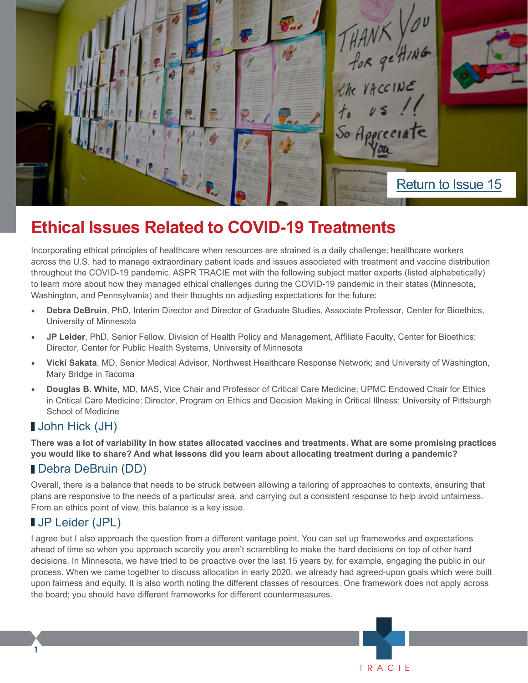

# **Ethical Issues Related to COVID-19 Treatments**

Incorporating ethical principles of healthcare when resources are strained is a daily challenge; healthcare workers across the U.S. had to manage extraordinary patient loads and issues associated with treatment and vaccine distribution throughout the COVID-19 pandemic. ASPR TRACIE met with the following subject matter experts (listed alphabetically) to learn more about how they managed ethical challenges during the COVID-19 pandemic in their states (Minnesota, Washington, and Pennsylvania) and their thoughts on adjusting expectations for the future:

- **• Debra DeBruin**, PhD, Interim Director and Director of Graduate Studies, Associate Professor, Center for Bioethics, University of Minnesota
- **• JP Leider**, PhD, Senior Fellow, Division of Health Policy and Management, Affiliate Faculty, Center for Bioethics; Director, Center for Public Health Systems, University of Minnesota
- **• Vicki Sakata**, MD, Senior Medical Advisor, Northwest Healthcare Response Network; and University of Washington, Mary Bridge in Tacoma
- **• Douglas B. White**, MD, MAS, Vice Chair and Professor of Critical Care Medicine; UPMC Endowed Chair for Ethics in Critical Care Medicine; Director, Program on Ethics and Decision Making in Critical Illness; University of Pittsburgh School of Medicine

# **John Hick (JH)**

**There was a lot of variability in how states allocated vaccines and treatments. What are some promising practices you would like to share? And what lessons did you learn about allocating treatment during a pandemic?**

# Debra DeBruin (DD)

Overall, there is a balance that needs to be struck between allowing a tailoring of approaches to contexts, ensuring that plans are responsive to the needs of a particular area, and carrying out a consistent response to help avoid unfairness. From an ethics point of view, this balance is a key issue.

# JP Leider (JPL)

**1**

I agree but I also approach the question from a different vantage point. You can set up frameworks and expectations ahead of time so when you approach scarcity you aren't scrambling to make the hard decisions on top of other hard decisions. In Minnesota, we have tried to be proactive over the last 15 years by, for example, engaging the public in our process. When we came together to discuss allocation in early 2020, we already had agreed-upon goals which were built upon fairness and equity. It is also worth noting the different classes of resources. One framework does not apply across the board; you should have different frameworks for different countermeasures.

TRACIE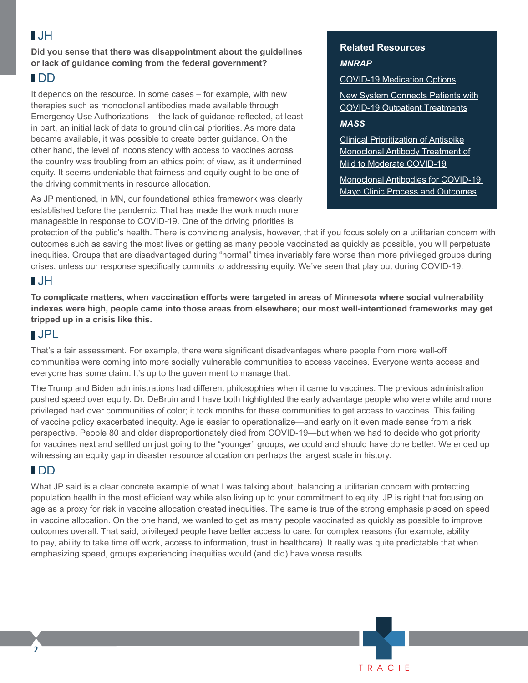# $\blacksquare$

**Did you sense that there was disappointment about the guidelines or lack of guidance coming from the federal government?** 

#### DD

It depends on the resource. In some cases – for example, with new therapies such as monoclonal antibodies made available through Emergency Use Authorizations – the lack of guidance reflected, at least in part, an initial lack of data to ground clinical priorities. As more data became available, it was possible to create better guidance. On the other hand, the level of inconsistency with access to vaccines across the country was troubling from an ethics point of view, as it undermined equity. It seems undeniable that fairness and equity ought to be one of the driving commitments in resource allocation.

As JP mentioned, in MN, our foundational ethics framework was clearly established before the pandemic. That has made the work much more manageable in response to COVID-19. One of the driving priorities is

#### **Related Resources** *MNRAP*

TRACIF

[COVID-19 Medication Options](https://www.health.state.mn.us/diseases/coronavirus/meds.html)

[New System Connects Patients with](https://www.sph.umn.edu/news/new-system-connects-patients-with-covid-19-outpatient-treatments/) [COVID-19 Outpatient Treatments](https://www.sph.umn.edu/news/new-system-connects-patients-with-covid-19-outpatient-treatments/)

#### *MASS*

[Clinical Prioritization of Antispike](https://www.mayoclinicproceedings.org/article/S0025-6196(21)00868-5/fulltext) [Monoclonal Antibody Treatment of](https://www.mayoclinicproceedings.org/article/S0025-6196(21)00868-5/fulltext) [Mild to Moderate COVID-19](https://www.mayoclinicproceedings.org/article/S0025-6196(21)00868-5/fulltext)

[Monoclonal Antibodies for COVID-19:](https://hsc.unm.edu/echo/_docs/hhs-covid/raymund-razonable_3.30.21.pdf) [Mayo Clinic Process and Outcomes](https://hsc.unm.edu/echo/_docs/hhs-covid/raymund-razonable_3.30.21.pdf)

protection of the public's health. There is convincing analysis, however, that if you focus solely on a utilitarian concern with outcomes such as saving the most lives or getting as many people vaccinated as quickly as possible, you will perpetuate inequities. Groups that are disadvantaged during "normal" times invariably fare worse than more privileged groups during crises, unless our response specifically commits to addressing equity. We've seen that play out during COVID-19.

# **HU**

**To complicate matters, when vaccination efforts were targeted in areas of Minnesota where social vulnerability indexes were high, people came into those areas from elsewhere; our most well-intentioned frameworks may get tripped up in a crisis like this.** 

#### JPL

That's a fair assessment. For example, there were significant disadvantages where people from more well-off communities were coming into more socially vulnerable communities to access vaccines. Everyone wants access and everyone has some claim. It's up to the government to manage that.

The Trump and Biden administrations had different philosophies when it came to vaccines. The previous administration pushed speed over equity. Dr. DeBruin and I have both highlighted the early advantage people who were white and more privileged had over communities of color; it took months for these communities to get access to vaccines. This failing of vaccine policy exacerbated inequity. Age is easier to operationalize—and early on it even made sense from a risk perspective. People 80 and older disproportionately died from COVID-19—but when we had to decide who got priority for vaccines next and settled on just going to the "younger" groups, we could and should have done better. We ended up witnessing an equity gap in disaster resource allocation on perhaps the largest scale in history.

# DD

What JP said is a clear concrete example of what I was talking about, balancing a utilitarian concern with protecting population health in the most efficient way while also living up to your commitment to equity. JP is right that focusing on age as a proxy for risk in vaccine allocation created inequities. The same is true of the strong emphasis placed on speed in vaccine allocation. On the one hand, we wanted to get as many people vaccinated as quickly as possible to improve outcomes overall. That said, privileged people have better access to care, for complex reasons (for example, ability to pay, ability to take time off work, access to information, trust in healthcare). It really was quite predictable that when emphasizing speed, groups experiencing inequities would (and did) have worse results.

**2**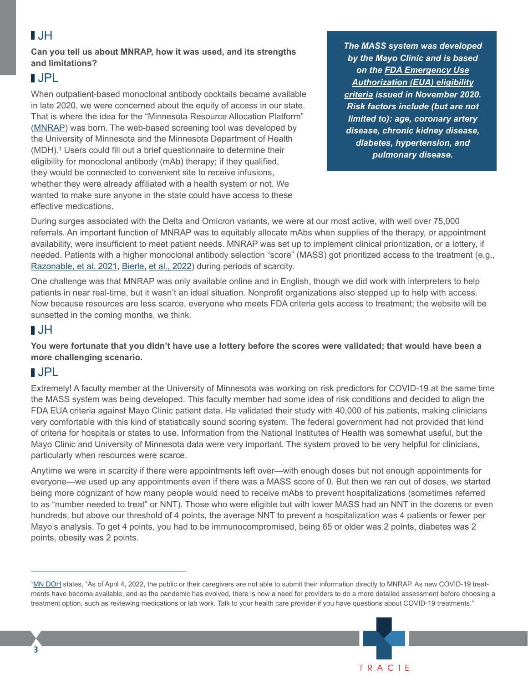# $\blacksquare$

**Can you tell us about MNRAP, how it was used, and its strengths and limitations?** 

#### JPL

When outpatient-based monoclonal antibody cocktails became available in late 2020, we were concerned about the equity of access in our state. That is where the idea for the "Minnesota Resource Allocation Platform" [\(MNRAP](https://www.health.state.mn.us/diseases/coronavirus/meds.html)) was born. The web-based screening tool was developed by the University of Minnesota and the Minnesota Department of Health (MDH).<sup>1</sup> Users could fill out a brief questionnaire to determine their eligibility for monoclonal antibody (mAb) therapy; if they qualified, they would be connected to convenient site to receive infusions, whether they were already affiliated with a health system or not. We wanted to make sure anyone in the state could have access to these effective medications.

*The MASS system was developed by the Mayo Clinic and is based on the [FDA Emergency Use](https://www.mayoclinicproceedings.org/action/showFullTableHTML?isHtml=true&tableId=tbl1&pii=S0025-6196%2821%2900868-5) [Authorization \(EUA\) eligibility](https://www.mayoclinicproceedings.org/action/showFullTableHTML?isHtml=true&tableId=tbl1&pii=S0025-6196%2821%2900868-5) [criteria](https://www.mayoclinicproceedings.org/action/showFullTableHTML?isHtml=true&tableId=tbl1&pii=S0025-6196%2821%2900868-5) issued in November 2020. Risk factors include (but are not limited to): age, coronary artery disease, chronic kidney disease, diabetes, hypertension, and pulmonary disease.* 

During surges associated with the Delta and Omicron variants, we were at our most active, with well over 75,000 referrals. An important function of MNRAP was to equitably allocate mAbs when supplies of the therapy, or appointment availability, were insufficient to meet patient needs. MNRAP was set up to implement clinical prioritization, or a lottery, if needed. Patients with a higher monoclonal antibody selection "score" (MASS) got prioritized access to the treatment (e.g., [Razonable, et al. 2021](https://www.mayoclinicproceedings.org/article/S0025-6196(21)00191-9/fulltext), Bierle, [et al., 2022](https://pubmed.ncbi.nlm.nih.gov/34791298/)) during periods of scarcity.

One challenge was that MNRAP was only available online and in English, though we did work with interpreters to help patients in near real-time, but it wasn't an ideal situation. Nonprofit organizations also stepped up to help with access. Now because resources are less scarce, everyone who meets FDA criteria gets access to treatment; the website will be sunsetted in the coming months, we think.

# JH

**You were fortunate that you didn't have use a lottery before the scores were validated; that would have been a more challenging scenario.** 

# JPL

Extremely! A faculty member at the University of Minnesota was working on risk predictors for COVID-19 at the same time the MASS system was being developed. This faculty member had some idea of risk conditions and decided to align the FDA EUA criteria against Mayo Clinic patient data. He validated their study with 40,000 of his patients, making clinicians very comfortable with this kind of statistically sound scoring system. The federal government had not provided that kind of criteria for hospitals or states to use. Information from the National Institutes of Health was somewhat useful, but the Mayo Clinic and University of Minnesota data were very important. The system proved to be very helpful for clinicians, particularly when resources were scarce.

Anytime we were in scarcity if there were appointments left over—with enough doses but not enough appointments for everyone—we used up any appointments even if there was a MASS score of 0. But then we ran out of doses, we started being more cognizant of how many people would need to receive mAbs to prevent hospitalizations (sometimes referred to as "number needed to treat" or NNT). Those who were eligible but with lower MASS had an NNT in the dozens or even hundreds, but above our threshold of 4 points, the average NNT to prevent a hospitalization was 4 patients or fewer per Mayo's analysis. To get 4 points, you had to be immunocompromised, being 65 or older was 2 points, diabetes was 2 points, obesity was 2 points.

<sup>&</sup>lt;sup>1</sup>[MN DOH](https://www.health.state.mn.us/diseases/coronavirus/meds.html) states, "As of April 4, 2022, the public or their caregivers are not able to submit their information directly to MNRAP. As new COVID-19 treatments have become available, and as the pandemic has evolved, there is now a need for providers to do a more detailed assessment before choosing a treatment option, such as reviewing medications or lab work. Talk to your health care provider if you have questions about COVID-19 treatments."

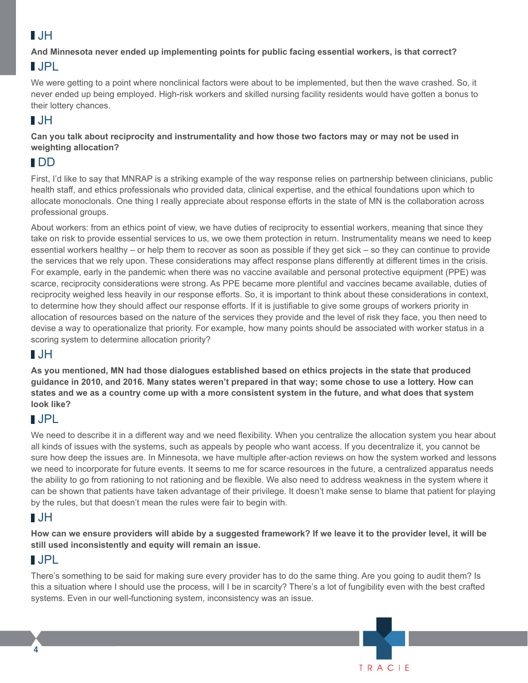# $\blacksquare$ .JH

#### **And Minnesota never ended up implementing points for public facing essential workers, is that correct?**

# JPL

We were getting to a point where nonclinical factors were about to be implemented, but then the wave crashed. So, it never ended up being employed. High-risk workers and skilled nursing facility residents would have gotten a bonus to their lottery chances.

# $\blacksquare$ .JH

**Can you talk about reciprocity and instrumentality and how those two factors may or may not be used in weighting allocation?** 

# DD

First, I'd like to say that MNRAP is a striking example of the way response relies on partnership between clinicians, public health staff, and ethics professionals who provided data, clinical expertise, and the ethical foundations upon which to allocate monoclonals. One thing I really appreciate about response efforts in the state of MN is the collaboration across professional groups.

About workers: from an ethics point of view, we have duties of reciprocity to essential workers, meaning that since they take on risk to provide essential services to us, we owe them protection in return. Instrumentality means we need to keep essential workers healthy – or help them to recover as soon as possible if they get sick – so they can continue to provide the services that we rely upon. These considerations may affect response plans differently at different times in the crisis. For example, early in the pandemic when there was no vaccine available and personal protective equipment (PPE) was scarce, reciprocity considerations were strong. As PPE became more plentiful and vaccines became available, duties of reciprocity weighed less heavily in our response efforts. So, it is important to think about these considerations in context, to determine how they should affect our response efforts. If it is justifiable to give some groups of workers priority in allocation of resources based on the nature of the services they provide and the level of risk they face, you then need to devise a way to operationalize that priority. For example, how many points should be associated with worker status in a scoring system to determine allocation priority?

# $\blacksquare$ .JH

**As you mentioned, MN had those dialogues established based on ethics projects in the state that produced guidance in 2010, and 2016. Many states weren't prepared in that way; some chose to use a lottery. How can states and we as a country come up with a more consistent system in the future, and what does that system look like?**

# JPL

We need to describe it in a different way and we need flexibility. When you centralize the allocation system you hear about all kinds of issues with the systems, such as appeals by people who want access. If you decentralize it, you cannot be sure how deep the issues are. In Minnesota, we have multiple after-action reviews on how the system worked and lessons we need to incorporate for future events. It seems to me for scarce resources in the future, a centralized apparatus needs the ability to go from rationing to not rationing and be flexible. We also need to address weakness in the system where it can be shown that patients have taken advantage of their privilege. It doesn't make sense to blame that patient for playing by the rules, but that doesn't mean the rules were fair to begin with.

# **NJH**

**How can we ensure providers will abide by a suggested framework? If we leave it to the provider level, it will be still used inconsistently and equity will remain an issue.** 

# JPL

**4**

There's something to be said for making sure every provider has to do the same thing. Are you going to audit them? Is this a situation where I should use the process, will I be in scarcity? There's a lot of fungibility even with the best crafted systems. Even in our well-functioning system, inconsistency was an issue.

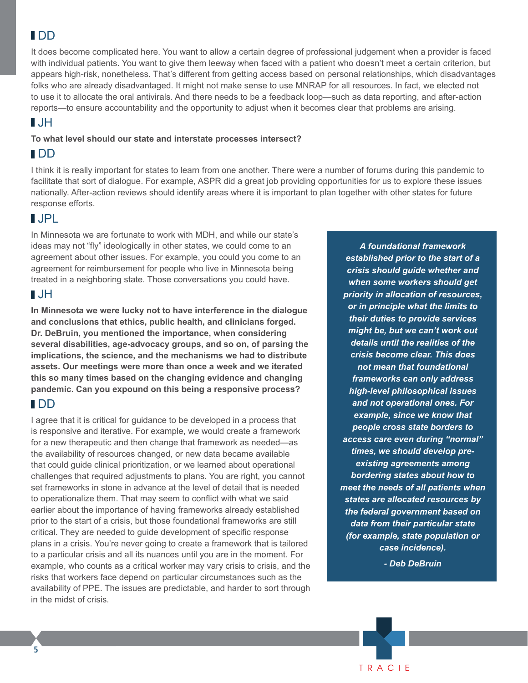# DD

It does become complicated here. You want to allow a certain degree of professional judgement when a provider is faced with individual patients. You want to give them leeway when faced with a patient who doesn't meet a certain criterion, but appears high-risk, nonetheless. That's different from getting access based on personal relationships, which disadvantages folks who are already disadvantaged. It might not make sense to use MNRAP for all resources. In fact, we elected not to use it to allocate the oral antivirals. And there needs to be a feedback loop—such as data reporting, and after-action reports—to ensure accountability and the opportunity to adjust when it becomes clear that problems are arising.

### $\blacksquare$

#### **To what level should our state and interstate processes intersect?**

#### IDD

I think it is really important for states to learn from one another. There were a number of forums during this pandemic to facilitate that sort of dialogue. For example, ASPR did a great job providing opportunities for us to explore these issues nationally. After-action reviews should identify areas where it is important to plan together with other states for future response efforts.

### JPL

In Minnesota we are fortunate to work with MDH, and while our state's ideas may not "fly" ideologically in other states, we could come to an agreement about other issues. For example, you could you come to an agreement for reimbursement for people who live in Minnesota being treated in a neighboring state. Those conversations you could have.

### JH

**In Minnesota we were lucky not to have interference in the dialogue and conclusions that ethics, public health, and clinicians forged. Dr. DeBruin, you mentioned the importance, when considering several disabilities, age-advocacy groups, and so on, of parsing the implications, the science, and the mechanisms we had to distribute assets. Our meetings were more than once a week and we iterated this so many times based on the changing evidence and changing pandemic. Can you expound on this being a responsive process?** 

### DD

I agree that it is critical for guidance to be developed in a process that is responsive and iterative. For example, we would create a framework for a new therapeutic and then change that framework as needed—as the availability of resources changed, or new data became available that could guide clinical prioritization, or we learned about operational challenges that required adjustments to plans. You are right, you cannot set frameworks in stone in advance at the level of detail that is needed to operationalize them. That may seem to conflict with what we said earlier about the importance of having frameworks already established prior to the start of a crisis, but those foundational frameworks are still critical. They are needed to guide development of specific response plans in a crisis. You're never going to create a framework that is tailored to a particular crisis and all its nuances until you are in the moment. For example, who counts as a critical worker may vary crisis to crisis, and the risks that workers face depend on particular circumstances such as the availability of PPE. The issues are predictable, and harder to sort through in the midst of crisis.

*A foundational framework established prior to the start of a crisis should guide whether and when some workers should get priority in allocation of resources, or in principle what the limits to their duties to provide services might be, but we can't work out details until the realities of the crisis become clear. This does not mean that foundational frameworks can only address high-level philosophical issues and not operational ones. For example, since we know that people cross state borders to access care even during "normal" times, we should develop preexisting agreements among bordering states about how to meet the needs of all patients when states are allocated resources by the federal government based on data from their particular state (for example, state population or case incidence).*

*- Deb DeBruin*



**5**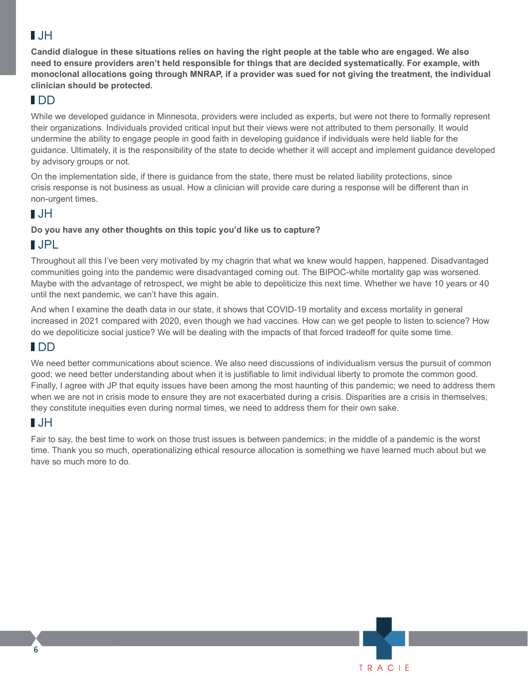# JH

**Candid dialogue in these situations relies on having the right people at the table who are engaged. We also need to ensure providers aren't held responsible for things that are decided systematically. For example, with monoclonal allocations going through MNRAP, if a provider was sued for not giving the treatment, the individual clinician should be protected.** 

# DD

While we developed guidance in Minnesota, providers were included as experts, but were not there to formally represent their organizations. Individuals provided critical input but their views were not attributed to them personally. It would undermine the ability to engage people in good faith in developing guidance if individuals were held liable for the guidance. Ultimately, it is the responsibility of the state to decide whether it will accept and implement guidance developed by advisory groups or not.

On the implementation side, if there is guidance from the state, there must be related liability protections, since crisis response is not business as usual. How a clinician will provide care during a response will be different than in non-urgent times.

# JH

#### **Do you have any other thoughts on this topic you'd like us to capture?**

# JPL

Throughout all this I've been very motivated by my chagrin that what we knew would happen, happened. Disadvantaged communities going into the pandemic were disadvantaged coming out. The BIPOC-white mortality gap was worsened. Maybe with the advantage of retrospect, we might be able to depoliticize this next time. Whether we have 10 years or 40 until the next pandemic, we can't have this again.

And when I examine the death data in our state, it shows that COVID-19 mortality and excess mortality in general increased in 2021 compared with 2020, even though we had vaccines. How can we get people to listen to science? How do we depoliticize social justice? We will be dealing with the impacts of that forced tradeoff for quite some time.

### DD

We need better communications about science. We also need discussions of individualism versus the pursuit of common good; we need better understanding about when it is justifiable to limit individual liberty to promote the common good. Finally, I agree with JP that equity issues have been among the most haunting of this pandemic; we need to address them when we are not in crisis mode to ensure they are not exacerbated during a crisis. Disparities are a crisis in themselves; they constitute inequities even during normal times, we need to address them for their own sake.

# JH

Fair to say, the best time to work on those trust issues is between pandemics; in the middle of a pandemic is the worst time. Thank you so much, operationalizing ethical resource allocation is something we have learned much about but we have so much more to do.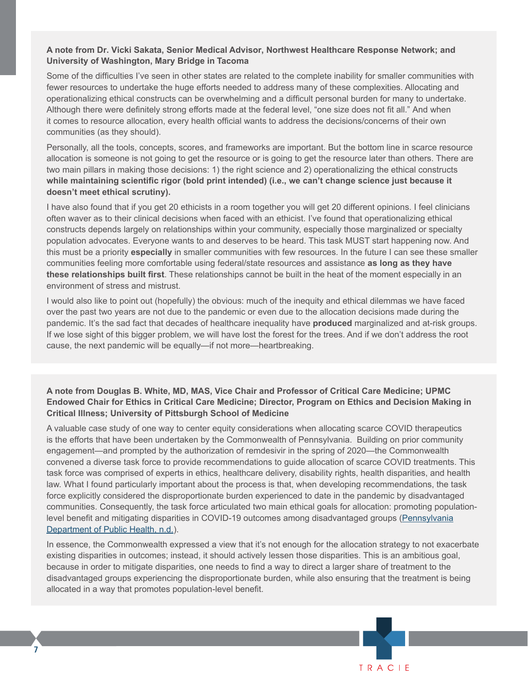#### **A note from Dr. Vicki Sakata, Senior Medical Advisor, Northwest Healthcare Response Network; and University of Washington, Mary Bridge in Tacoma**

Some of the difficulties I've seen in other states are related to the complete inability for smaller communities with fewer resources to undertake the huge efforts needed to address many of these complexities. Allocating and operationalizing ethical constructs can be overwhelming and a difficult personal burden for many to undertake. Although there were definitely strong efforts made at the federal level, "one size does not fit all." And when it comes to resource allocation, every health official wants to address the decisions/concerns of their own communities (as they should).

Personally, all the tools, concepts, scores, and frameworks are important. But the bottom line in scarce resource allocation is someone is not going to get the resource or is going to get the resource later than others. There are two main pillars in making those decisions: 1) the right science and 2) operationalizing the ethical constructs **while maintaining scientific rigor (bold print intended) (i.e., we can't change science just because it doesn't meet ethical scrutiny).**

I have also found that if you get 20 ethicists in a room together you will get 20 different opinions. I feel clinicians often waver as to their clinical decisions when faced with an ethicist. I've found that operationalizing ethical constructs depends largely on relationships within your community, especially those marginalized or specialty population advocates. Everyone wants to and deserves to be heard. This task MUST start happening now. And this must be a priority **especially** in smaller communities with few resources. In the future I can see these smaller communities feeling more comfortable using federal/state resources and assistance **as long as they have these relationships built first**. These relationships cannot be built in the heat of the moment especially in an environment of stress and mistrust.

I would also like to point out (hopefully) the obvious: much of the inequity and ethical dilemmas we have faced over the past two years are not due to the pandemic or even due to the allocation decisions made during the pandemic. It's the sad fact that decades of healthcare inequality have **produced** marginalized and at-risk groups. If we lose sight of this bigger problem, we will have lost the forest for the trees. And if we don't address the root cause, the next pandemic will be equally—if not more—heartbreaking.

#### **A note from Douglas B. White, MD, MAS, Vice Chair and Professor of Critical Care Medicine; UPMC Endowed Chair for Ethics in Critical Care Medicine; Director, Program on Ethics and Decision Making in Critical Illness; University of Pittsburgh School of Medicine**

A valuable case study of one way to center equity considerations when allocating scarce COVID therapeutics is the efforts that have been undertaken by the Commonwealth of Pennsylvania. Building on prior community engagement—and prompted by the authorization of remdesivir in the spring of 2020—the Commonwealth convened a diverse task force to provide recommendations to guide allocation of scarce COVID treatments. This task force was comprised of experts in ethics, healthcare delivery, disability rights, health disparities, and health law. What I found particularly important about the process is that, when developing recommendations, the task force explicitly considered the disproportionate burden experienced to date in the pandemic by disadvantaged communities. Consequently, the task force articulated two main ethical goals for allocation: promoting populationlevel benefit and mitigating disparities in COVID-19 outcomes among disadvantaged groups ([Pennsylvania](https://www.health.pa.gov/topics/disease/coronavirus/Pages/Guidance/Ethical-Allocation-Framework.aspx) [Department of Public Health, n.d.](https://www.health.pa.gov/topics/disease/coronavirus/Pages/Guidance/Ethical-Allocation-Framework.aspx)).

In essence, the Commonwealth expressed a view that it's not enough for the allocation strategy to not exacerbate existing disparities in outcomes; instead, it should actively lessen those disparities. This is an ambitious goal, because in order to mitigate disparities, one needs to find a way to direct a larger share of treatment to the disadvantaged groups experiencing the disproportionate burden, while also ensuring that the treatment is being allocated in a way that promotes population-level benefit.

**7**

TRACIF